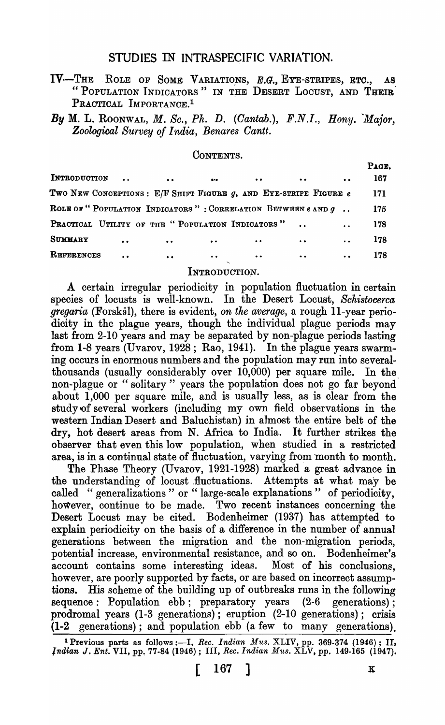# STUDIES IN INTRASPEGIFIC VARIATION.

- IV-THE ROLE OF SOME VARIATIONS, E.G., EYE-STRIPES, ETC., AS "POPULATION INDICATORS" IN THE DESERT LOCUST, AND THEIR PRACTICAL IMPORTANCE.<sup>1</sup>
- *By* M. L. ROONWAL, *M. Sc., Ph. D. (Gantab.)*, *F.N.I., Bony. Major, Zoological Survey of India, Benares Gantt.*

CONTENTS.

| INTRODUCTION |                      | $\sim$ $\sim$                                                          | $\bullet$ | $\bullet$ $\bullet$ | <b><i>Contract Contract Contract Contract</i></b> | $\bullet$ .          | Page.<br>167 |
|--------------|----------------------|------------------------------------------------------------------------|-----------|---------------------|---------------------------------------------------|----------------------|--------------|
|              |                      | Two New Conceptions : E/F Shift Figure $g$ , and Eye-stripe Figure $e$ |           |                     |                                                   |                      | 171          |
|              |                      | ROLE OF "POPULATION INDICATORS": CORRELATION BETWEEN $e$ and $g$ .     |           |                     |                                                   |                      | 175          |
|              |                      | PRACTICAL UTILITY OF THE "POPULATION INDICATORS".                      |           |                     |                                                   |                      | 178          |
| SUMMARY      | $\bullet$            | $\cdot$ .                                                              | $\bullet$ | $\bullet$ $\bullet$ |                                                   | $\ddot{\phantom{a}}$ | 178          |
| REFERENCES   | $\ddot{\phantom{a}}$ | $\bullet$                                                              | $\bullet$ | $\bullet\bullet$    |                                                   | $\bullet$ $\bullet$  | 178          |

#### INTRODUCTION.

A certain irregular periodicity in population fluctuation in certain species of locusts is well-known. In the Desert Locust, *Schistocerca gregaria* (Forskal), there is evident, *on the average,* a rough II-year periodicity in the plague years, though the individual plague periods may last from 2-10 years and may be separated by non-plague periods lasting from 1-8 years (Uvarov, 1928; Rao, 1941). In the plague years swarming occurs in enormous numbers and the population may run into severalthousands (usually considerably over  $10,000$ ) per square mile. In the non-plague or " solitary" years the population does not go far beyond about 1,000 per square mile, and is usually less, as is clear from the study'of several workers (including my own field observations in the western Indian Desert and Baluchistan) in almost the entire belt of the dry, hot desert areas from N. Africa to India. It further strikes the observer that even this low population, when studied in a restricted area, is in a continual state of fluctuation, varying from 'month to month.

The Phase Theory (Uvarov, 1921-1928) marked a great advance in the understanding of locust fluctuations. Attempts at what may be called "generalizations" or "large-scale explanations" of periodicity, however, continue to be made. Two recent instances concerning the Desert Locust may be cited. Bodenheimer (1937} has attempted to explain periodicity on the basis of a difference in the number of annual generations between the migration and the non-migration periods, potential increase, environmental resistance, and so on. Bodenheimer's account contains some interesting ideas. Most of his conclusions, however, are poorly supported by facts, or are based on incorrect assumptions. His scheme of the building up of outbreaks runs in the following sequence: Population ebb; preparatory years (2-6 generations); prodromal years (1-3 generations); eruption (2-10 generations); crisis (1-2 generations); and population ebb (a few to many generations).

<sup>&</sup>lt;sup>1</sup> Previous parts as follows :---I, *Rec. Indian Mus.* XLIV, pp. 369-374 (1946); II, *Indian J. Ent.* VII, pp. 77-84 (1946); III, *Rec. Indian Mus. XLV*, pp. 149-165 (1947).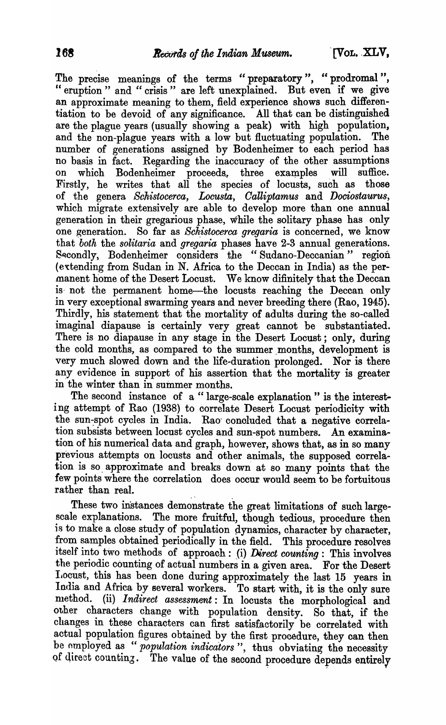The precise meanings of the terms "preparatory", "prodromal", " eruption" and " crisis" are left unexplained. But even if we give an approximate meaning to them, field experience shows such differentiation to be devoid of any signifioance. All that can be distinguished are the plague years (usually showing a peak) with high population, and the non-plague years with a low but fluctuating population. The number of generations assigned by Bodenheimer to each period has no basis in fact. Regarding the inaccuracy of the other assumptions on which Bodenheimer proceeds, three examples will suffice. Firstly, he writes that all the species of locusts, such as those of the genera *Schistocerca, Locusta, Oalliptamus* and *Dociostaurus,*  which migrate extensively are able to develop more than one annual generation in their gregarious phase, while the solitary phase has only one generation. So far as *Schistocerca gregaria* is concerned, we know that *both* the *solitaria* and *gregaria* phases have 2-3 annual generations. Secondly, Bodenheimer considers the "Sudano-Deccanian" region  $($ extending from Sudan in N. Africa to the Deccan in India) as the permanent home of the Desert Locust. We know difinitely that the Deccan is not the permanent home-the locusts reaching the Deccan only in very exceptional swarming years and neyer breeding there (Rao, 1945). Thirdly, his statement that the mortality of adults during the so-called imaginal diapause is certainly very great cannot be substantiated. There is no diapause in any stage in the Desert Locust; only, during the cold months, as compared to the summer months, development is very much slowed down and the life-duration prolonged. Nor is there any evidence in support of his assertion that the mortality is greater in the winter than in summer months.

The second instance of a "large-scale explanation" is the interesting attempt of Rao (1938) to correlate Desert Locust periodicity with the sun-spot cycles in India. Rao conoluded that a negative correlation subsists between locust cycles and sun-spot numbers. An examination of his numerical data and graph, however, shows that, as in so many previous attempts on locusts and other animals, the supposed correlation is so. approximate and breaks down at so many points that the few points where the correlation does occur would seem to be fortuitous rather than real.

These two instances demonstrate the great limitations of such largescale explanations. The more fruitful, though tedious, procedure then is to make a close study of population dynamics, character by character, from samples obtained periodically in the field. This procedure resolves itself into two methods of approach: (i) *Direct counting*: This involves the periodic counting of actual numbers in a given area. For the Desert I,ocust, this has been done during approximately the last 15 years in India and Africa by several workers. To start with, it is the only sure method. (ii) *Indirect assessment*: In locusts the morphological and other characters change with population density. So that, if the changes in these characters can first satisfactorily be correlated with actual population figures obtained by the first procedure, they can then be employed as "*population indicators*", thus obviating the necessity of direct counting. The value of the second procedure depends entirely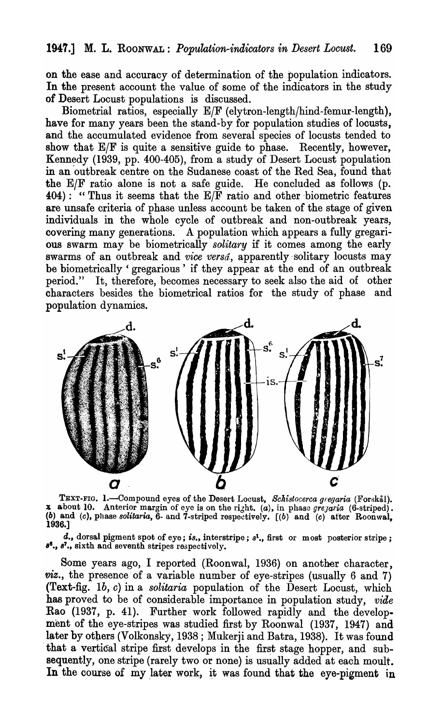on the ease and accuracy of determination of the population indicators. In the present account the value of some of the indicators in the study of Desert Locust populations is discussed.

Biometrial ratios, especially *ElF* (elytron-Iength/hind-femur-Iength), have for many years been the stand-by for population studies of locusts, and the accumulated evidence from several species of locusts tended to show that  $E/F$  is quite a sensitive guide to phase. Recently, however, Kennedy (1939, pp. 400-405), from a study of Desert Locust population in an 'outbreak centre on the Sudanese coast of the Red Sea, found that the  $E/F$  ratio alone is not a safe guide. He concluded as follows (p.  $404$ : "Thus it seems that the  $E/\overline{F}$  ratio and other biometric features are unsafe criteria of phase unless account be taken of the stage of given individuals in the whole cycle of outbreak and non-outbreak years, covering many generations. A population which appears a fully gregarious swarm may be biometrically *solitary* if it comes among the early swarms of an outbreak and *vice versa*, apparently solitary locusts may be biometrically 'gregarious' if they appear at the end of an outbreak period." It, therefore, becomes necessary to seek also the aid of other characters besides the biometrical ratios for the study of phase and population dynamics.



TEXT-FIG. 1.-Compound eyes of the Desert Locust, *Schistocerca gregaria* (Forskål). x about 10. Anterior margin of eye is on the right. *(a)*, in phase *gregaria* (6-striped). (b) and  $(c)$ , phase *solitaria*,  $\tilde{6}$ - and  $\tilde{7}$ -striped respectively.  $[(b)$  and  $(c)$  after Roonwal, 1936.]

d., dorsal pigment spot of eye; *is.*, interstripe;  $s^1$ ., first or most posterior stripe; 8<sup>6</sup>., 8<sup>7</sup>., sixth and seventh stripes respectively.

Some years ago, I reported (Roonwal, 1936) on another character, *viz.,* the presence of a variable number of eye-stripes (usually 6 and 7) (Text~fig. *Ib, c)* in a *solitaria* population of the Desert Locust, which has proved to be of considerable importance in population study, *vide*  Rao (1937, p. 41). Further work followed rapidly and the development of the eye-stripes was studied first by Roonwal (1937, 1947) and later by others (Volkonsky, 1938; Mukerji and Batra, 1938). It was found that a vertical stripe first develops in the first stage hopper, and subsequently, one stripe (rarely two or none) is usually added at each moult. In the course of my later work, it was found that the eye-pigment in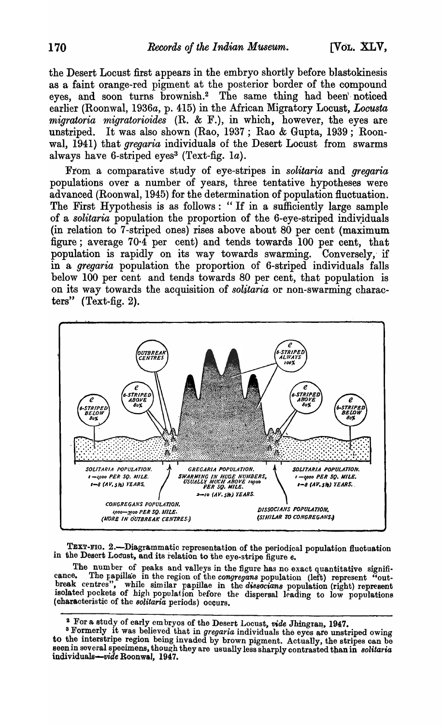the Desert Locust first appears in the embryo shortly before blastokinesis as a faint orange-red pigment at the posterior border of the compound eyes, and soon turns brownish.<sup>2</sup> The same thing had been noticed earlier (Roonwal, 1936a, p. 415) in the African Migratory Locust, Locusta migratoria migratorioides (R. & F.), in which, however, the eyes are unstriped. It was also shown (Rao, 1937; Rao & Gupta, 1939; Roonwal, 1941) that *gregaria* individuals of the Desert Locust from swarms always have 6-striped eyes<sup>3</sup> (Text-fig. 1a).

From a comparative study of eye-stripes in solitaria and gregaria populations over a number of years, three tentative hypotheses were advanced (Roonwal, 1945) for the determination of population fluctuation. The First Hypothesis is as follows: "If in a sufficiently large sample of a solitaria population the proportion of the 6-eye-striped individuals (in relation to 7-striped ones) rises above about 80 per cent (maximum figure; average 70.4 per cent) and tends towards 100 per cent, that population is rapidly on its way towards swarming. Conversely, if in a gregaria population the proportion of 6-striped individuals falls below 100 per cent and tends towards 80 per cent, that population is on its way towards the acquisition of *solitaria* or non-swarming characters" (Text-fig. 2).



TEXT-FIG. 2.-Diagrammatic representation of the periodical population fluctuation in the Desert Locust, and its relation to the eye-stripe figure e.

The number of peaks and valleys in the figure has no exact quantitative signified. The papillate in the region of the congregans population (left) represent "outcance. break centres", while similar papillae in the dissociant population (right) represent isolated pockets of high population before the dispersal leading to low populations (characteristic of the solitaria periods) occurs.

<sup>&</sup>lt;sup>2</sup> For a study of early embryos of the Desert Locust, vide Jhingran, 1947.

<sup>&</sup>lt;sup>3</sup> Formerly it was believed that in *gregaria* individuals the eyes are unstriped owing to the interstripe region being invaded by brown pigment. Actually, the stripes can be seen in several specimens, though they are usually less sharply contrasted than in solitaria individuals-vide Roonwal, 1947.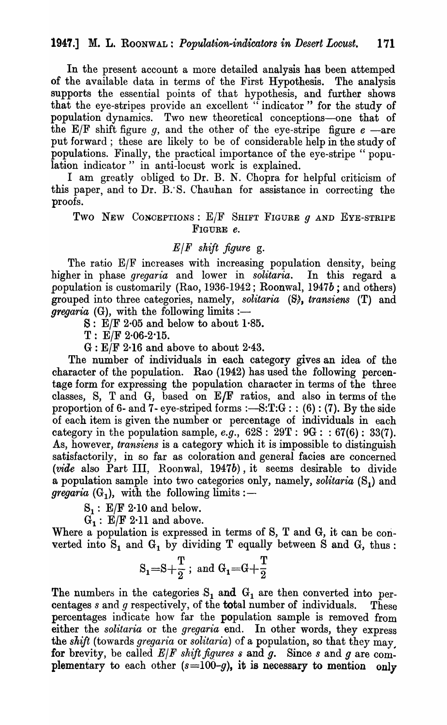In the present account a more detailed analysis has been attemped of the available data in terms of the First Hypothesis. The analysis supports the essential points of that hypothesis, and further shows that the eye-stripes provide an excellent "indicator" for the study of population dynamics. Two new theoretical conceptions-one that of the  $E/F$  shift figure q, and the other of the eye-stripe figure  $e$  -are put forward; these are likely to be of considerable help in the study of populations. Finally, the practical importance of the eye-stripe" population indicator" in anti-locust work is explained.

I am greatly obliged to Dr. B. N. Chopra for helpful criticism of this paper, and to Dr. B: S. Chauhan for assistance in correcting the proofs.

Two NEW CONCEPTIONS: *ElF* SHIFT FIGURE 9 AND EYE-STRIPE FIGURE *e.* 

## *ElF shift figure* g.

The ratio E/F increases with increasing population density, being higher in phase *gregaria* and lower in *solitaria.* In this regard a popUlation is customarily (Rao, 1936-1942; Roonwal, *1947b;* and others) grouped into three categories, namely, *solitaria* (S), *transiens* (T) and  *(G), with the following limits :-*

 $S: E/F 2.05$  and below to about 1.85.

 $T: E/F 2.06-2.15.$ 

G : *ElF* 2·16 and above to about 2·43.

The number of individuals in each category gives an idea of the character of the population. Rao (1942) has used the following percentage form for expressing the population character in terms of the three classes, 8, T and G, based on EJF ratios, and also in terms of the proportion of 6- and 7- eye-striped forms :— $S:T:G$ : : (6): (7). By the side of each item is given the number or percentage of individuals in each category in the population sample, *e.g.*,  $62S : 29T : 9G : 67(6) : 33(7)$ . As, however, *transiens* is a category which it is impossible to distinguish satisfactorily, in so far as coloration and general facies are concerned  $(\textit{vide} \text{ also Part III}, \text{Roomwal}, 1947b)$ , it seems desirable to divide a population sample into two categories only, namely, *solitaria* (S<sub>1</sub>) and *gregaria*  $(G_1)$ , with the following limits:

 $S_1$ :  $E/F 2.10$  and below.

 $G_1$ :  $E/F 2.11$  and above.

Where a population is expressed in terms of S, T and G, it can be converted into  $S_1$  and  $G_1$  by dividing T equally between S and G, thus:

$$
S_1\hspace{-0.1cm}=\hspace{-0.1cm}S\hspace{-0.1cm}+\hspace{-0.1cm}\frac{T}{2}\,;\;\text{and}\;G_1\hspace{-0.1cm}=\hspace{-0.1cm}G\hspace{-0.1cm}+\hspace{-0.1cm}\frac{T}{2}
$$

The numbers in the categories  $S_1$  and  $G_1$  are then converted into percentages s and *g* respectively, of the **total** number of individuals. These percentages indicate how far the population sample is removed from either the *solitaria* or the *gregaria* end. In other words, they express the *shift* (towards *gregaria* or *solitaria*) of a population, so that they may for brevity, be called  $E/F$  shift figures  $s$  and  $g$ . Since  $s$  and  $g$  are complementary to each other  $(s=100-g)$ , it is necessary to mention only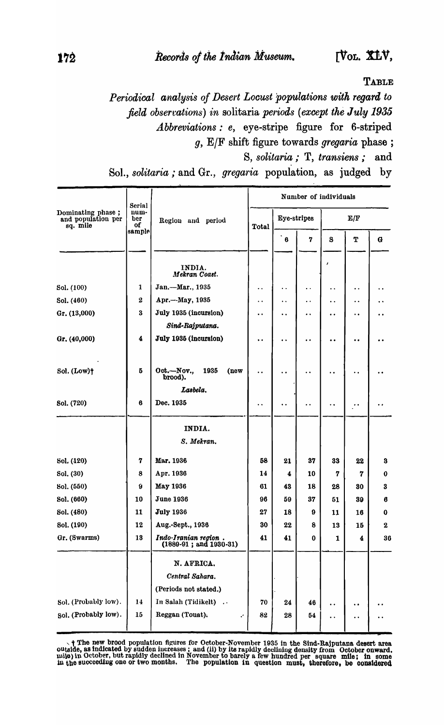**TABLE** 

*Periodical analysis of Desert Locust 'populations with regard to field observations) in solitaria periods (except the July 1935 .A.bbreviations: e,* eye-stripe figure for 6-striped *g, ElF* shift figure towards *gregaria* phase; S, *solitaria;* T, *transiens;* and

Sol., *solitaria*; and Gr., *gregaria* population, as judged by

|                                                     | Serial            |                                                  | Number of individuals |                      |                      |                      |                      |              |  |  |  |  |
|-----------------------------------------------------|-------------------|--------------------------------------------------|-----------------------|----------------------|----------------------|----------------------|----------------------|--------------|--|--|--|--|
| Dominating phase;<br>and population per<br>sq. mile | num-<br>ber<br>of | Region and period                                | Total                 | Eye-stripes          |                      | E/F                  |                      |              |  |  |  |  |
|                                                     | sample            |                                                  |                       | $\bf{6}$             | 7                    | S                    | Т                    | $\mathbf{G}$ |  |  |  |  |
|                                                     |                   | INDIA.<br>Mekran Coast.                          |                       |                      |                      |                      |                      |              |  |  |  |  |
| Sol. (100)                                          | 1                 | Jan.-Mar., 1935                                  | $\ddot{\phantom{0}}$  | $\ddot{\phantom{a}}$ | $\ddot{\phantom{1}}$ | ٠.                   | . .                  |              |  |  |  |  |
| Sol. (460)                                          | 2                 | Apr.--May, 1935                                  | $\ddot{\phantom{0}}$  | . .                  | . .                  | . .                  | . .                  |              |  |  |  |  |
| Gr. (13,000)                                        | 3                 | July 1935 (incursion)                            | . .                   | . .                  | . .                  | $\ddot{\phantom{0}}$ | $\ddot{\phantom{0}}$ |              |  |  |  |  |
|                                                     |                   | Sind-Rajputana.                                  |                       |                      |                      |                      |                      |              |  |  |  |  |
| Gr. (40,000)                                        | 4                 | July 1935 (incursion)                            | $\ddot{\phantom{0}}$  |                      |                      | . .                  |                      |              |  |  |  |  |
| Sol. (Low)+                                         | 5                 | Oct.-Nov.,<br>1935<br>(new<br>brood).            | ٠.                    |                      |                      | ٠.                   |                      |              |  |  |  |  |
|                                                     |                   | Lasbela.                                         |                       |                      |                      |                      |                      |              |  |  |  |  |
| Sol. (720)                                          | 6                 | Dec. 1935                                        | . .                   |                      |                      | ٠.                   |                      |              |  |  |  |  |
|                                                     |                   | INDIA.                                           |                       |                      |                      |                      |                      |              |  |  |  |  |
|                                                     |                   | S. Mekran.                                       |                       |                      |                      |                      |                      |              |  |  |  |  |
| Sol. (120)                                          | 7                 | Mar. 1936                                        | 58                    | 21                   | 37                   | 33                   | 22                   | 3            |  |  |  |  |
| Sol. (30)                                           | 8                 | Apr. 1936                                        | 14                    | 4                    | 10                   | 7                    | 7                    | 0            |  |  |  |  |
| Sol. (550)                                          | g                 | <b>May 1936</b>                                  | 61                    | 43                   | 18                   | 28                   | 30                   | 3            |  |  |  |  |
| Sol. (660)                                          | 10                | <b>June 1936</b>                                 | 96                    | 59                   | 37                   | 51                   | 39                   | 6            |  |  |  |  |
| Sol. (480)                                          | 11                | <b>July 1936</b>                                 | 27                    | 18                   | 9                    | 11                   | 16                   | 0            |  |  |  |  |
| Sol. (190)                                          | 12                | Aug.-Sept., 1936                                 | 30                    | 22                   | 8                    | 13                   | 15                   | $\bf{2}$     |  |  |  |  |
| Gr. (Swarms)                                        | 13                | Indo-Iranian region.<br>$(1889-91; and 1930-31)$ | 41                    | 41                   | $\bf{0}$             | 1                    | 4                    | 36           |  |  |  |  |
|                                                     |                   | N. AFRICA.                                       |                       |                      |                      |                      |                      |              |  |  |  |  |
|                                                     |                   | Central Sahara.                                  |                       |                      |                      |                      |                      |              |  |  |  |  |
|                                                     |                   | (Periods not stated.)                            |                       |                      |                      |                      |                      |              |  |  |  |  |
| Sol. (Probably low).                                | 14                | In Salah (Tidikelt)                              | 70                    | 24                   | 46                   | $\ddot{\phantom{0}}$ |                      |              |  |  |  |  |
| Sol. (Probably low).                                | 15                | Reggan (Touat).                                  | 82                    | 28                   | 64                   | ٠.                   |                      |              |  |  |  |  |

 $\rightarrow$  † The new brood population figures for October-November 1935 in the Sind-Rajputana desert area outside, as indicated by sudden increases; and (ii) by its rapidly declining density from October onward. mile) in October, but rapidly declined in November to barely a few hundred per square mile; in some in the succeeding one or two months. The population in question must, therefore, be considered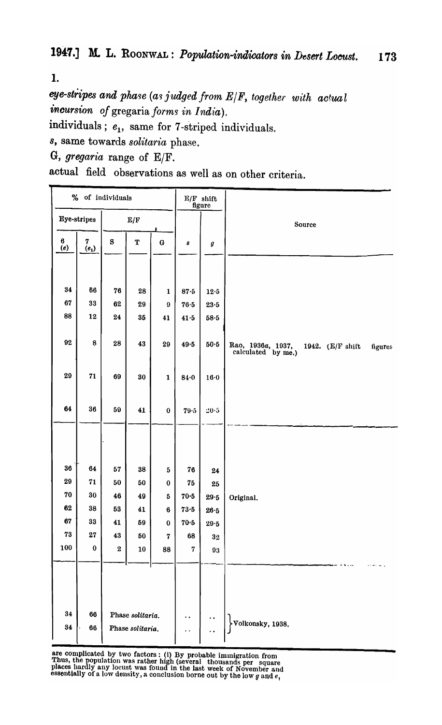1.

eye-stripes and phase (as *judged from E|F, together with actual incursion of* gregaria *forms in India).* 

individuals;  $e_1$ , same for 7-striped individuals.

*s,* same towards *solitaria* phase.

G, *gregaria* range of *ElF.* 

actual field observations as well as on other criteria.

| % of individuals |              | $E/F$ shift<br>figure |                         |                |                      |                      |                                                                     |
|------------------|--------------|-----------------------|-------------------------|----------------|----------------------|----------------------|---------------------------------------------------------------------|
|                  | Eye-stripes  |                       | $\mathbf{E}/\mathbf{F}$ |                |                      |                      | Source                                                              |
| $\bf 6$<br>(e)   | 7<br>$(e_1)$ | $\bf S$               | ${\bf T}$               | $\mathbf G$    | 8                    | $\boldsymbol{g}$     |                                                                     |
|                  |              |                       |                         |                |                      |                      |                                                                     |
| 34               | 66           | 76                    | 28                      | $\mathbf{1}$   | 87.5                 | $12\!\cdot\!5$       |                                                                     |
| 67               | 33           | 62                    | 29                      | $\pmb{9}$      | $76·5$               | $23\!\cdot\!5$       |                                                                     |
| 88               | 12           | 24                    | 35                      | 41             | 41.5                 | $58-5$               |                                                                     |
|                  |              |                       |                         |                |                      |                      |                                                                     |
| 92               | 8            | 28                    | 43                      | 29             | $49.5$               | $50·5$               | Rao, 1936a, 1937, calculated by me.)<br>1942. (E/F shift<br>figures |
| 29               | 71           | 69                    | 30                      | $\mathbf{1}$   | 84.0                 | 16·0                 |                                                                     |
| 64               | 36           | 59                    | 41                      | $\pmb{0}$      | 79.5                 | $20-5$               |                                                                     |
|                  |              |                       |                         |                |                      |                      |                                                                     |
|                  |              |                       |                         |                |                      |                      |                                                                     |
| 36               | 64           | ${\bf 57}$            | 38                      | $\mathbf{5}$   | 76                   | 24                   |                                                                     |
| 29               | 71           | 50                    | 50                      | $\pmb{0}$      | 75                   | 25                   |                                                                     |
| ${\bf 70}$       | 30           | 46                    | 49                      | $\bf 5$        | $70-5$               | 29.5                 | Original.                                                           |
| 62               | 38           | 53                    | 41                      | $\bf 6$        | $73\!\cdot\!5$       | 26.5                 |                                                                     |
| 67               | 33           | 41                    | 59                      | $\bf{0}$       | $70-5$               | 29.5                 |                                                                     |
| 73               | 27           | 43                    | 50                      | $\overline{7}$ | 68                   | $\bf{32}$            |                                                                     |
| 100              | $\mathbf 0$  | $\bf 2$               | 10                      | 88             | $\bf 7$              | $\bf 93$             |                                                                     |
|                  |              |                       |                         |                |                      |                      |                                                                     |
|                  |              |                       |                         |                |                      |                      |                                                                     |
|                  |              |                       |                         |                |                      |                      |                                                                     |
|                  |              |                       |                         |                |                      |                      |                                                                     |
| 34               | 66           |                       | Phase solitaria.        |                | $\ddot{\phantom{1}}$ | $\ddot{\phantom{0}}$ |                                                                     |
| $\bf 34$         | 66           |                       | Phase solitaria.        |                | . .                  |                      | Volkonsky, 1938.                                                    |
|                  |              |                       |                         |                |                      |                      |                                                                     |

are complicated by two factors: (i) By probable immigration from Thus, the population was rather high (several thousands per square places hardly any locust was found in the last week of November and essentially of a low density, a conclusion borne out by the low *q* and *e*.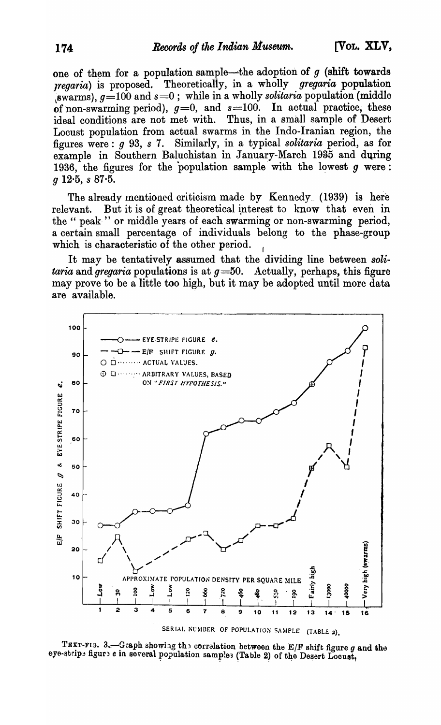[VOL. XLV,

one of them for a population sample—the adoption of  $g$  (shift towards *regaria*) is proposed. Theoretically, in a wholly *gregaria* population (swarms),  $g=100$  and  $s=0$ ; while in a wholly solitaria population (middle of non-swarming period),  $g=0$ , and  $s=100$ . In actual practice, these ideal conditions are not met with. Thus, in a small sample of Desert Locust population from actual swarms in the Indo-Iranian region, the figures were: g 93, s 7. Similarly, in a typical solitaria period, as for example in Southern Baluchistan in January-March 1935 and during 1936, the figures for the population sample with the lowest  $g$  were:  $q$  12.5,  $s$  87.5.

The already mentioned criticism made by Kennedy (1939) is here But it is of great theoretical interest to know that even in relevant. the " peak " or middle years of each swarming or non-swarming period, a certain small percentage of individuals belong to the phase-group which is characteristic of the other period.

It may be tentatively assumed that the dividing line between solitaria and gregaria populations is at  $g=50$ . Actually, perhaps, this figure may prove to be a little too high, but it may be adopted until more data are available.



TEXT-FIG. 3. - Graph showing the correlation between the E/F shift figure g and the eye-stripe figure e in several population samples (Table 2) of the Desert Locust,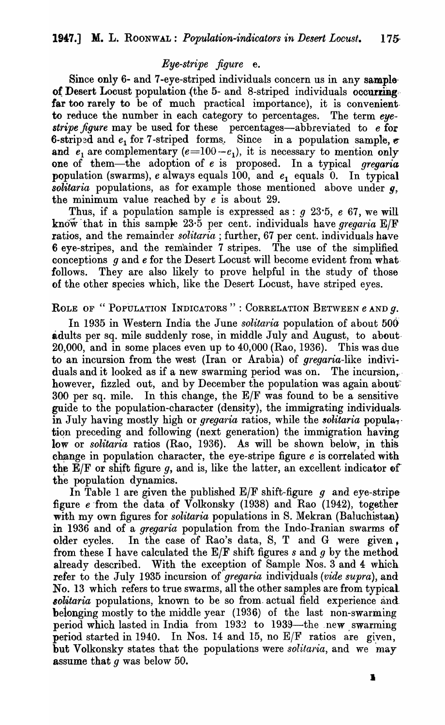### *Eye-stripe figure* e.

Since only 6- and 7-eye-striped individuals concern us in any sample of Desert Locust population (the  $5-$  and  $8$ -striped individuals occurring. far too rarely to be of much practical importance), it is convenientto reduce the number in each category to percentages. The term *eyestripe figure* may be used for these percentages-abbreviated to *e* for 6-striped and  $e_1$  for 7-striped forms. Since in a population sample,  $\epsilon$ and  $e_1$  are complementary  $(e=100-e_1)$ , it is necessary to mention only one of them-the adoption of *e* is proposed. In a typical *gregaria*  population (swarms),  $e$  always equals  $100$ , and  $e_1$  equals  $0$ . In typical *solitaria* populations, as for example those mentioned above under *g,*  the minimum value reached by *e* is about 29.

Thus, if a population sample is expressed as :  $q$  23.5,  $e$  67, we will know that in this sample 23.5 per cent. individuals have *gregaria* E/F ratios, and the remainder *solitaria* ; further, 67 per cent. individuals have 6 eye-stripes, and the remainder 7 stripes. The use of the simplified conceptions *9* and *e* for the Desert Locust will become evident from what· follows. They are also likely to prove helpful in the study of those of the other species which, like the Desert Locust, have striped eyes.

#### ROLE OF "POPULATION INDICATORS": CORRELATION BETWEEN *e* and *q*.

In 1935 in Western India the June *solitaria* population of about 500 adults per sq. mile suddenly rose, in middle July and August, to about 20,000, and in some places even up to 40,000 (Rao, 1936). This was due to an incursion from the west (Iran or Arabia) of gregaria-like individuals and it looked as if a new swarming period was on. The incursion, however, fizzled out, and by December the population was again about  $300$  per sq. mile. In this change, the E/F was found to be a sensitive guide to the population-character (density), the immigrating individualsin July having mostly high or *gregaria* ratios, while the *solitaria* popula<sub>1</sub>. tion preceding and following (next generation) the immigration having low or *solitaria* ratios (Rao, 1936). As will be shown below, in this change in population character, the eye-stripe figure *e* is correlated with the  $E/F$  or shift figure g, and is, like the latter, an excellent indicator of the population dynamics.

In Table 1 are given the published  $E/F$  shift-figure g and eye-stripe figure  $e$  from the data of Volkonsky (1938) and Rao (1942), together with my own figures for *solitaria* populations in S. Mekran (Baluchistan) in 1936 and of a *gregaria* population from the Indo-Iranian swarms of older cycles. In the case of Rao's data, S, T and G were given, from these I have calculated the  $E/F$  shift figures s and q by the method already described. With the exception of Sample Nos. 3 and 4 which. refer to the July 1935 incursion of *gregaria* individuals *(vide supra)*, and No. 13 which refers to true swarms, all the other samples are from typical solitaria populations, known to be so from actual field experience and belonging mostly to the middle year (1936) of the last non-swarming period which lasted in India from  $1932$  to  $1939$ —the new swarming period started in 1940. In Nos. 14 and 15, no  $E/F$  ratios are given, but Volkonsky states that the populations were *solitaria*, and we may assume that *9* was below 50.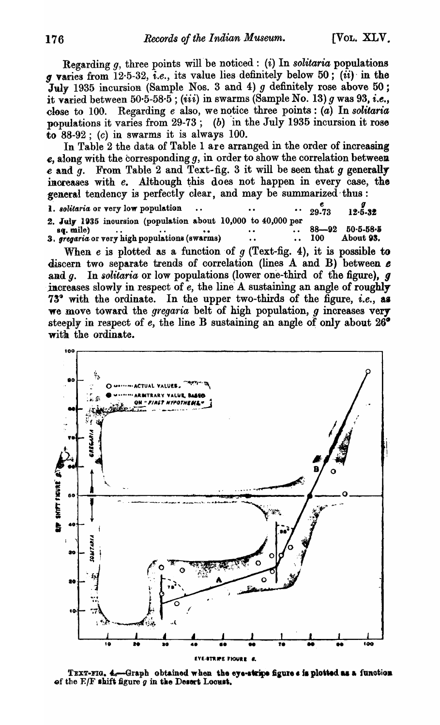Regarding  $g$ , three points will be noticed: (i) In *solitaria* populations *g* vanes from 12·5-32, *i.e.,* its value lies definitely below 50; (ii)' in the July 1935 incursion (Sample Nos. 3 and 4)  $g$  definitely rose above 50; it varied between 50·5-58·5; *(iii)* in swarms (Sample No. 13) *q* was 93, *i.e.*, close to 100. Regarding *e* also, we notice three points: *(a)* In *solitaria* populations it varies from  $29-73$ ; (b) in the July 1935 incursion it rose to  $88-92$ ; (c) in swarms it is always 100.

In Table 2 the data of Table 1 are arranged in the order of increasing  $e$ , along with the corresponding  $g$ , in order to show the correlation between  $e$  and  $g$ . From Table 2 and Text-fig. 3 it will be seen that  $g$  generally increases with *e*. Although this does not happen in every case, the general tendency is perfectly clear, and may be summarized thus: **1.** solitaria or very low population ... ... ... ... ... 29.73 **12.5.32** 

|           | 2. July 1935 incursion (population about 10,000 to 40,000 per |  |  |      |                         |
|-----------|---------------------------------------------------------------|--|--|------|-------------------------|
| sq. mile) |                                                               |  |  |      | $\cdot$ 88-92 50.5-58.5 |
|           | 3. gregaria or very high populations (swarms)                 |  |  | -100 | About 93.               |

When  $e$  is plotted as a function of  $g$  (Text-fig. 4), it is possible to discern two separate trends of correlation (lines  $A$  and  $B$ ) between  $e$ and  $q$ . In *solitaria* or low populations (lower one-third of the figure),  $q$ increases slowly in respect of  $\vec{e}$ , the line A sustaining an angle of roughly 73° with the ordinate. In the upper two-thirds of the figure, *i.e.*, as we move toward the *gregaria* belt of high population, *g* increases very steeply in respect of  $e$ , the line B sustaining an angle of only about  $26^{\circ}$ with the ordinate.



TEXT-FIG. 4.-Graph obtained when the eye-stripe figure s is plotted as a function of the  $E/F$  shift figure  $g$  in the Desert Locust.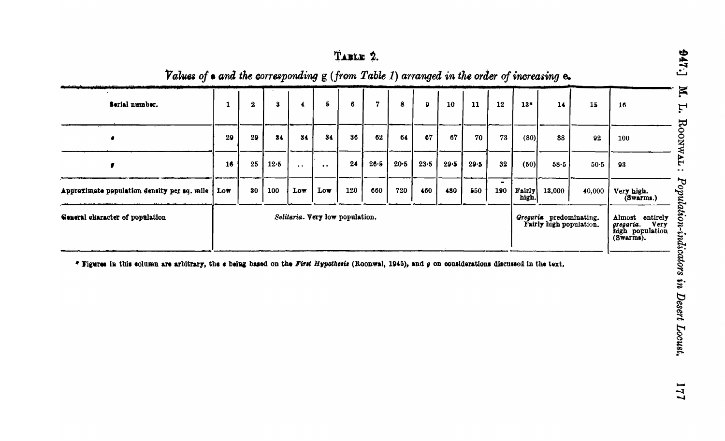| TABLE | 2. |
|-------|----|
|-------|----|

Values of  $\bullet$  and the corresponding  $g$  (from Table 1) arranged in the order of increasing  $\mathbf{e}_{\bullet}$ 

| Serial number.                              | 1   | $\bf{2}$                        | 3        | $\ddot{\bullet}$    | $\bf 5$   | 6   | $\mathbf 7$ | 8        | $\bullet$ | 10   | 11                                                 | 12  | $13*$           | 14                                                                   | 15     | 16                      |
|---------------------------------------------|-----|---------------------------------|----------|---------------------|-----------|-----|-------------|----------|-----------|------|----------------------------------------------------|-----|-----------------|----------------------------------------------------------------------|--------|-------------------------|
|                                             | 29  | 29                              | 84       | 34                  | 34        | 36  | 62          | 64       | 67        | 67   | 70                                                 | 73  | (80)            | 88                                                                   | 92     | 100                     |
|                                             | 16  | 25                              | $12 - 5$ | $\bullet$ $\bullet$ | $\bullet$ | 24  | 26.5        | $20 - 5$ | 23.5      | 29.5 | 29.5                                               | 32  | (50)            | 58.5                                                                 | $50-5$ | 93                      |
| Approximate population density per sq. mile | Low | 30                              | 100      | Low                 | Low       | 120 | 660         | 720      | 460       | 480  | 550                                                | 190 | Fairly<br>high. | 13,000                                                               | 40,000 | Very high.<br>(Swarms.) |
| General ekaracter of population             |     | Solitaria. Very low population. |          |                     |           |     |             |          |           |      | Gregaria predominating.<br>Fairly high population. |     |                 | Almost entirely<br>Very<br>gregaria.<br>high population<br>(Swarms). |        |                         |

\* Figures in this solumn are arbitrary, the  $\epsilon$  being based on the First Hypothesis (Roonwal, 1945), and  $g$  on considerations discussed in the text.

177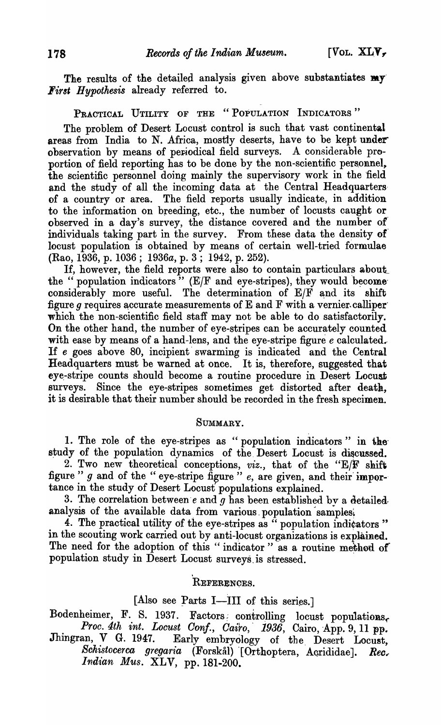The results of the detailed analysis given above substantiates my *First Hypothesis* already referred to.

# PRACTICAL UTILITY OF THE "POPULATION INDICATORS"

The problem of Desert Locust control is such that vast continental areas from India to N. Africa, mostly deserts, have to be kept under observation by means of periodical field surveys. A considerable proportion of field reporting has to be done by the non-scientific personnel, the scientific personnel doing mainly the supervisory work in the 'field and the study of all the incoming data at the Central Headquarters of a country or area. The field reports usually indicate, in addition to the information on breeding, etc., the number of locusts caught or observed in a day's survey, the distance covered and the number ot individuals taking part in the survey. From these data the density of locust population is obtained by means of certain well-tried formulae (Rao, 1936, p. 1036; 1936a, p. 3; 1942, p. 252).

If, however, the field reports were also to contain particulars about the " population indicators"  $(E/F)$  and eye-stripes), they would become considerably more useful. The determination of  $E/F$  and its shift figure  $q$  requires accurate measurements of E and F with a vernier. calliper which the non-scientific field staff may not be able to do satisfactorily. On the other hand, the number of eye-stripes can be accurately counted with ease by means of a hand-lens, and the eye-stripe figure *e* calculated. If *e* goes above 80, incipient' swarming is indicated and the Central Headquarters must be warned at once. It is, therefore, suggested that eye-stripe counts should become a routine procedure in Desert Locust surveys. Since the eye-stripes sometimes get distorted after death, it is desirable that their number should be recorded in the fresh specimen..

#### SUMMARY.

1. The role of the eye-stripes as "population indicators" in the study of the population dynamics of the Desert Locust is discussed.

2. Two new theoretical conceptions, *viz.,* that of the "E/F shift figure "  $g$  and of the " eye-stripe figure "  $e$ , are given, and their importance in the study of Desert Locust populations explained.

3. The correlation between's and  $g$  has been established by a detailed. analysis of the available data from various population samples.

4. The practical utility of the eye-stripes as  $\ddot{\cdot}$  population indicators " in the scouting work carried out by anti-locust organizations is explained. The need for the adoption of this "indicator" as a routine method of population study in Desert Locust surveys. is stressed. .

## REFERENQES.

,

### [Also see Parts I-III of this series.]

Bodenheimer, F. S. 1937. Factors controlling locust populations,

*Proc. 4th int. Locust Conf., Cairo, 1936*, Cairo, App. 9, 11 pp. Jhingran, V G. 1947. Early embryology of the Desert Locust, Schistocerca gregaria (Forskål) [Orthoptera, Acrididae]. Rec. *Indian Mus. XLV*, pp. 181-200.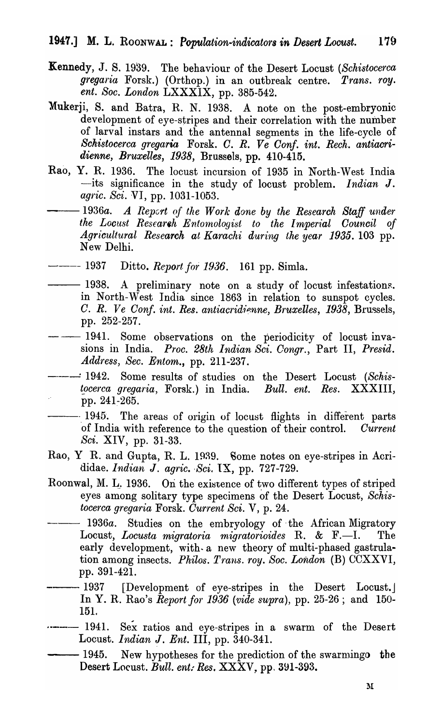- Kennedy, J. S. 1939. The behaviour of the Desert Locust *(Schistocerca gregaria* Forsk.) (Orthop.) in an outbreak centre. *Trans. roy. ent. Soc. London* LXXXIX, pp. 385-542.
- Mukerji, S. and Batra, R, N. 1938. A note on the post-embryonic development of eye-stripes and their correlation with the number of larval instars and the antennal segments in the life-cycle of *Schistocerca gregaria* Forsk. C. R. Ve Conf. int. Rech. antiacri*dienne, Bruxelles,* 1938, Brussels, pp. 410-415.
- Rao, Y. R. 1936. The locust incursion of 1935 in North-West India -its significance in the study of locust problem. *Indian* J. *agric. Sci.* VI, pp. 1031-1053.
	- *--1936a.* A *Repcrt of the Work done by the Research Staff under*  the Locust Research Entomologist to the Imperial Council of *Agricultural Research at Karachi during the year* 1935. 103 pp. New Delhi.
- ----- 1937 Ditto. *Report for 1936*. 161 pp. Simla.
	- -1938. A preliminary note on a study of locust infestations. in North-West India since 1863 in relation to sunspot cycles. *C. R. Ve Conf. int. Res. antiacridienne, Bruxelles, 1938, Brussels,* pp. 252-257.
- 1941. Some observations on the periodicity of locust invasions in India. *Proc. 28th Indian Sci. Congr.*, Part II, *Presid. Address, Sec. Entom.,* pp. 211-237.
- ----------- 1942. Some results of studies on the Desert Locust *(Schis-tocerca gregaria*, Forsk.) in India. *Bull. ent. Res.* XXXIII,  $bccerca~gregaria, Forsk.)$  in India. pp. 241~265.
	- $-1945$ . The areas of origin of locust flights in different parts of India with reference to the question of their control. Current of India with reference to the question of their control. *Sci.* XIV, pp. 31-33.
- Rao, Y R. and Gupta, R. L. 1939. Some notes on eye-stripes in Acrididae. *Indian J. agric. Sci.* IX, pp. 727-729.
- Roonwal, M. L. 1936. On the existence of two different types of striped eyes among solitary type specimens of the Desert Locust, *Schistocerca g'fega1ria* Forsk. *Current Sci.* V, p. 24.
- 1936a. Studies on the embryology of the African Migratory<br>
cocust. *Locusta migratoria migratorioides* R. & F.—I. The Locust, *Locusta migratoria migratorioides* R. & F.-I. early development, with a new theory of multi-phased gastrulation among insects. *Philos. Trans. roy. Soc. London* (B) CCXXVI, pp. 391-421.
- -1937 [Development of eye-stripes in the Desert Locust.] In Y. R. Rao's *Report for* 1936 *(vide supra),* pp. 25-26; and 150- 151.
- 1941. Sex ratios and eye-stripes in a swarm of the Desert Locust. *Indian J. Ent.* III, pp. 340-341.
	- -1945. New hypotheses for the prediction of the swarming the Desert Locust. *Bull. ent: Res.* XXXV, pp. 391-393.